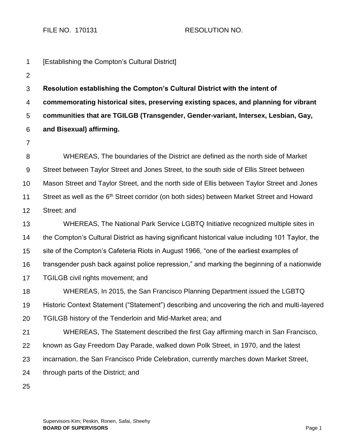FILE NO. 170131 RESOLUTION NO.

- 1 2 3 4 5 6 7 8 9 10 11 12 13 14 15 16 17 18 19 20 21 22 23 24 [Establishing the Compton's Cultural District] **Resolution establishing the Compton's Cultural District with the intent of commemorating historical sites, preserving existing spaces, and planning for vibrant communities that are TGILGB (Transgender, Gender-variant, Intersex, Lesbian, Gay, and Bisexual) affirming.** WHEREAS, The boundaries of the District are defined as the north side of Market Street between Taylor Street and Jones Street, to the south side of Ellis Street between Mason Street and Taylor Street, and the north side of Ellis between Taylor Street and Jones Street as well as the 6<sup>th</sup> Street corridor (on both sides) between Market Street and Howard Street; and WHEREAS, The National Park Service LGBTQ Initiative recognized multiple sites in the Compton's Cultural District as having significant historical value including 101 Taylor, the site of the Compton's Cafeteria Riots in August 1966, "one of the earliest examples of transgender push back against police repression," and marking the beginning of a nationwide TGILGB civil rights movement; and WHEREAS, In 2015, the San Francisco Planning Department issued the LGBTQ Historic Context Statement ("Statement") describing and uncovering the rich and multi-layered TGILGB history of the Tenderloin and Mid-Market area; and WHEREAS, The Statement described the first Gay affirming march in San Francisco, known as Gay Freedom Day Parade, walked down Polk Street, in 1970, and the latest incarnation, the San Francisco Pride Celebration, currently marches down Market Street, through parts of the District; and
	- 25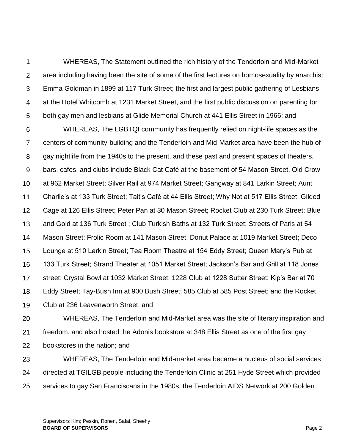1 2 3 4 5 WHEREAS, The Statement outlined the rich history of the Tenderloin and Mid-Market area including having been the site of some of the first lectures on homosexuality by anarchist Emma Goldman in 1899 at 117 Turk Street; the first and largest public gathering of Lesbians at the Hotel Whitcomb at 1231 Market Street, and the first public discussion on parenting for both gay men and lesbians at Glide Memorial Church at 441 Ellis Street in 1966; and

6 7 8 9 10 11 12 13 14 15 16 17 18 19 WHEREAS, The LGBTQI community has frequently relied on night-life spaces as the centers of community-building and the Tenderloin and Mid-Market area have been the hub of gay nightlife from the 1940s to the present, and these past and present spaces of theaters, bars, cafes, and clubs include Black Cat Café at the basement of 54 Mason Street, Old Crow at 962 Market Street; Silver Rail at 974 Market Street; Gangway at 841 Larkin Street; Aunt Charlie's at 133 Turk Street; Tait's Café at 44 Ellis Street; Why Not at 517 Ellis Street; Gilded Cage at 126 Ellis Street; Peter Pan at 30 Mason Street; Rocket Club at 230 Turk Street; Blue and Gold at 136 Turk Street ; Club Turkish Baths at 132 Turk Street; Streets of Paris at 54 Mason Street; Frolic Room at 141 Mason Street; Donut Palace at 1019 Market Street; Deco Lounge at 510 Larkin Street; Tea Room Theatre at 154 Eddy Street; Queen Mary's Pub at 133 Turk Street; Strand Theater at 1051 Market Street; Jackson's Bar and Grill at 118 Jones street; Crystal Bowl at 1032 Market Street; 1228 Club at 1228 Sutter Street; Kip's Bar at 70 Eddy Street; Tay-Bush Inn at 900 Bush Street; 585 Club at 585 Post Street; and the Rocket Club at 236 Leavenworth Street, and

20 21 22 23 WHEREAS, The Tenderloin and Mid-Market area was the site of literary inspiration and freedom, and also hosted the Adonis bookstore at 348 Ellis Street as one of the first gay bookstores in the nation; and WHEREAS, The Tenderloin and Mid-market area became a nucleus of social services

24 25 directed at TGILGB people including the Tenderloin Clinic at 251 Hyde Street which provided services to gay San Franciscans in the 1980s, the Tenderloin AIDS Network at 200 Golden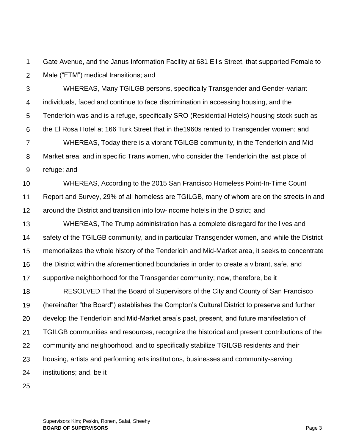1 2 Gate Avenue, and the Janus Information Facility at 681 Ellis Street, that supported Female to Male ("FTM") medical transitions; and

3 4 5 6 7 8 9 WHEREAS, Many TGILGB persons, specifically Transgender and Gender-variant individuals, faced and continue to face discrimination in accessing housing, and the Tenderloin was and is a refuge, specifically SRO (Residential Hotels) housing stock such as the El Rosa Hotel at 166 Turk Street that in the1960s rented to Transgender women; and WHEREAS, Today there is a vibrant TGILGB community, in the Tenderloin and Mid-Market area, and in specific Trans women, who consider the Tenderloin the last place of refuge; and

10 11 12 WHEREAS, According to the 2015 San Francisco Homeless Point-In-Time Count Report and Survey, 29% of all homeless are TGILGB, many of whom are on the streets in and around the District and transition into low-income hotels in the District; and

13 14 15 16 17 WHEREAS, The Trump administration has a complete disregard for the lives and safety of the TGILGB community, and in particular Transgender women, and while the District memorializes the whole history of the Tenderloin and Mid-Market area, it seeks to concentrate the District within the aforementioned boundaries in order to create a vibrant, safe, and supportive neighborhood for the Transgender community; now, therefore, be it

18 19 20 21 22 23 24 RESOLVED That the Board of Supervisors of the City and County of San Francisco (hereinafter "the Board") establishes the Compton's Cultural District to preserve and further develop the Tenderloin and Mid-Market area's past, present, and future manifestation of TGILGB communities and resources, recognize the historical and present contributions of the community and neighborhood, and to specifically stabilize TGILGB residents and their housing, artists and performing arts institutions, businesses and community-serving institutions; and, be it

25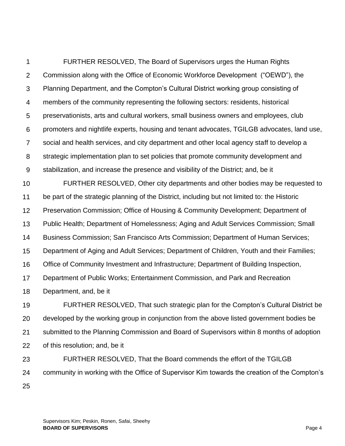1 2 3 4 5 6 7 8 9 FURTHER RESOLVED, The Board of Supervisors urges the Human Rights Commission along with the Office of Economic Workforce Development ("OEWD"), the Planning Department, and the Compton's Cultural District working group consisting of members of the community representing the following sectors: residents, historical preservationists, arts and cultural workers, small business owners and employees, club promoters and nightlife experts, housing and tenant advocates, TGILGB advocates, land use, social and health services, and city department and other local agency staff to develop a strategic implementation plan to set policies that promote community development and stabilization, and increase the presence and visibility of the District; and, be it

10 11 12 13 14 15 16 17 18 FURTHER RESOLVED, Other city departments and other bodies may be requested to be part of the strategic planning of the District, including but not limited to: the Historic Preservation Commission; Office of Housing & Community Development; Department of Public Health; Department of Homelessness; Aging and Adult Services Commission; Small Business Commission; San Francisco Arts Commission; Department of Human Services; Department of Aging and Adult Services; Department of Children, Youth and their Families; Office of Community Investment and Infrastructure; Department of Building Inspection, Department of Public Works; Entertainment Commission, and Park and Recreation Department, and, be it

19 20 21 22 23 FURTHER RESOLVED, That such strategic plan for the Compton's Cultural District be developed by the working group in conjunction from the above listed government bodies be submitted to the Planning Commission and Board of Supervisors within 8 months of adoption of this resolution; and, be it FURTHER RESOLVED, That the Board commends the effort of the TGILGB

24 25 community in working with the Office of Supervisor Kim towards the creation of the Compton's